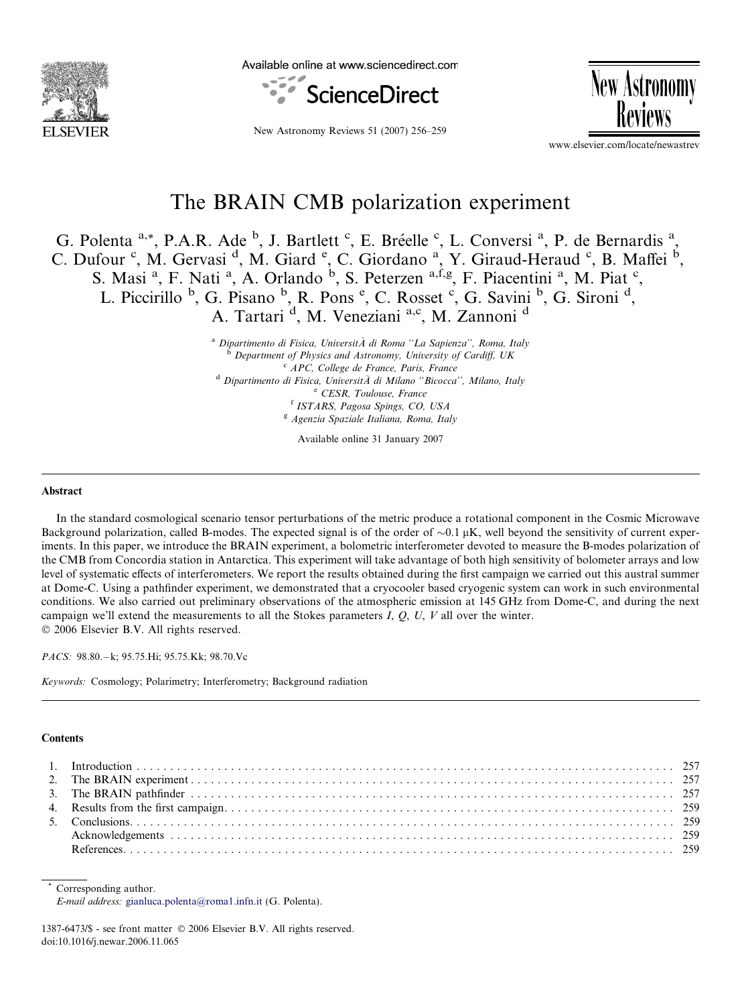

Available online at www.sciencedirect.com



**New Astronomy** 

New Astronomy Reviews 51 (2007) 256–259

www.elsevier.com/locate/newastrev

# The BRAIN CMB polarization experiment

G. Polenta <sup>a,\*</sup>, P.A.R. Ade <sup>b</sup>, J. Bartlett <sup>c</sup>, E. Bréelle <sup>c</sup>, L. Conversi <sup>a</sup>, P. de Bernardis <sup>a</sup>, C. Dufour <sup>c</sup>, M. Gervasi<sup>d</sup>, M. Giard <sup>e</sup>, C. Giordano<sup>a</sup>, Y. Giraud-Heraud <sup>c</sup>, B. Maffei <sup>b</sup>, S. Masi<sup>a</sup>, F. Nati<sup>a</sup>, A. Orlando<sup>b</sup>, S. Peterzen <sup>a,f,g</sup>, F. Piacentini<sup>a</sup>, M. Piat<sup>c</sup>, L. Piccirillo <sup>b</sup>, G. Pisano <sup>b</sup>, R. Pons <sup>e</sup>, C. Rosset <sup>c</sup>, G. Savini <sup>b</sup>, G. Sironi <sup>d</sup>, A. Tartari<sup>d</sup>, M. Veneziani<sup>a,c</sup>, M. Zannoni<sup>d</sup>

a Dipartimento di Fisica, Universit $\tilde{A}$  di Roma "La Sapienza", Roma, Italy<br>
b Department of Physics and Astronomy, University of Cardiff, UK<br>
c APC, College de France, Paris, France<br>
d Dipartimento di Fisica, Universi

Available online 31 January 2007

## Abstract

In the standard cosmological scenario tensor perturbations of the metric produce a rotational component in the Cosmic Microwave Background polarization, called B-modes. The expected signal is of the order of  $\sim 0.1 \mu K$ , well beyond the sensitivity of current experiments. In this paper, we introduce the BRAIN experiment, a bolometric interferometer devoted to measure the B-modes polarization of the CMB from Concordia station in Antarctica. This experiment will take advantage of both high sensitivity of bolometer arrays and low level of systematic effects of interferometers. We report the results obtained during the first campaign we carried out this austral summer at Dome-C. Using a pathfinder experiment, we demonstrated that a cryocooler based cryogenic system can work in such environmental conditions. We also carried out preliminary observations of the atmospheric emission at 145 GHz from Dome-C, and during the next campaign we'll extend the measurements to all the Stokes parameters I,  $Q$ ,  $U$ ,  $V$  all over the winter.  $© 2006 Elsevier B.V. All rights reserved.$ 

PACS: 98.80. - k; 95.75. Hi; 95.75. Kk; 98.70. Vc

Keywords: Cosmology; Polarimetry; Interferometry; Background radiation

#### **Contents**

Corresponding author. E-mail address: [gianluca.polenta@roma1.infn.it](mailto:gianluca.polenta@roma1.infn.it) (G. Polenta).

1387-6473/\$ - see front matter © 2006 Elsevier B.V. All rights reserved. doi:10.1016/j.newar.2006.11.065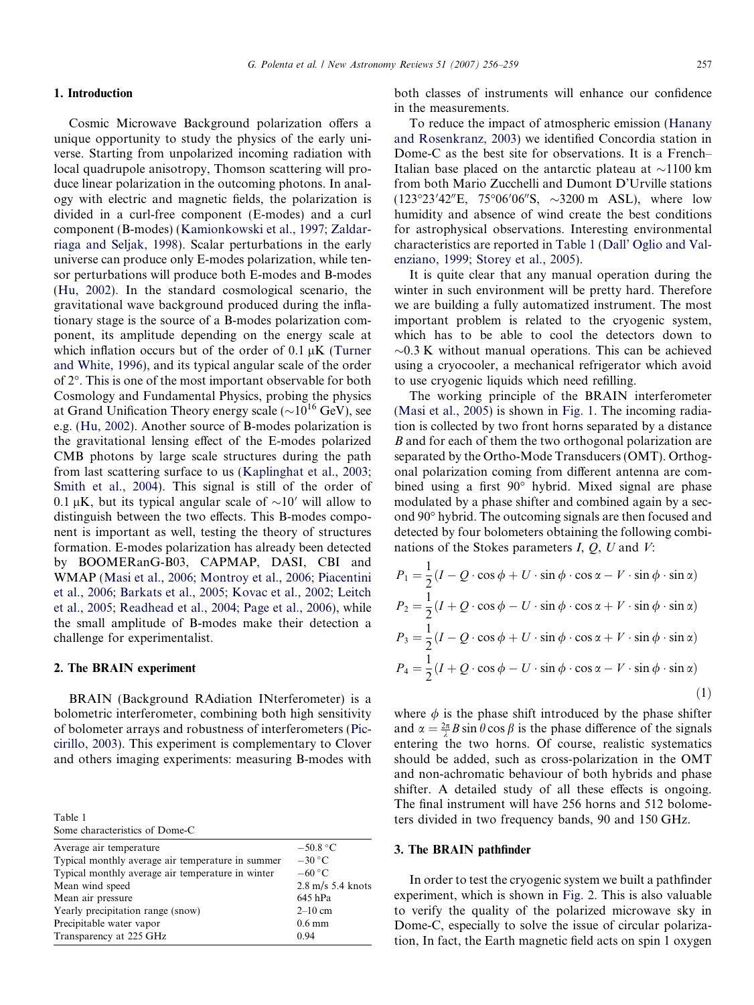#### G. Polenta et al. / New Astronomy Reviews 51 (2007) 256–259 257

## 1. Introduction

Cosmic Microwave Background polarization offers a unique opportunity to study the physics of the early universe. Starting from unpolarized incoming radiation with local quadrupole anisotropy, Thomson scattering will produce linear polarization in the outcoming photons. In analogy with electric and magnetic fields, the polarization is divided in a curl-free component (E-modes) and a curl component (B-modes) ([Kamionkowski et al., 1997; Zaldar](#page-3-0)[riaga and Seljak, 1998\)](#page-3-0). Scalar perturbations in the early universe can produce only E-modes polarization, while tensor perturbations will produce both E-modes and B-modes ([Hu, 2002\)](#page-3-0). In the standard cosmological scenario, the gravitational wave background produced during the inflationary stage is the source of a B-modes polarization component, its amplitude depending on the energy scale at which inflation occurs but of the order of  $0.1 \mu K$  ([Turner](#page-3-0) [and White, 1996\)](#page-3-0), and its typical angular scale of the order of 2". This is one of the most important observable for both Cosmology and Fundamental Physics, probing the physics at Grand Unification Theory energy scale ( $\sim 10^{16}$  GeV), see e.g. [\(Hu, 2002\)](#page-3-0). Another source of B-modes polarization is the gravitational lensing effect of the E-modes polarized CMB photons by large scale structures during the path from last scattering surface to us ([Kaplinghat et al., 2003;](#page-3-0) [Smith et al., 2004\)](#page-3-0). This signal is still of the order of 0.1  $\mu$ K, but its typical angular scale of  $\sim$ 10' will allow to distinguish between the two effects. This B-modes component is important as well, testing the theory of structures formation. E-modes polarization has already been detected by BOOMERanG-B03, CAPMAP, DASI, CBI and WMAP [\(Masi et al., 2006; Montroy et al., 2006; Piacentini](#page-3-0) [et al., 2006; Barkats et al., 2005; Kovac et al., 2002; Leitch](#page-3-0) [et al., 2005; Readhead et al., 2004; Page et al., 2006](#page-3-0)), while the small amplitude of B-modes make their detection a challenge for experimentalist.

## 2. The BRAIN experiment

BRAIN (Background RAdiation INterferometer) is a bolometric interferometer, combining both high sensitivity of bolometer arrays and robustness of interferometers [\(Pic](#page-3-0)[cirillo, 2003\)](#page-3-0). This experiment is complementary to Clover and others imaging experiments: measuring B-modes with

Table 1

| Some characteristics of Dome-C |  |
|--------------------------------|--|
|                                |  |

<span id="page-1-0"></span>

| Average air temperature                           | $-50.8\text{ °C}$           |
|---------------------------------------------------|-----------------------------|
| Typical monthly average air temperature in summer | $-30\,^{\circ}\mathrm{C}$   |
| Typical monthly average air temperature in winter | $-60 °C$                    |
| Mean wind speed                                   | $2.8 \text{ m/s}$ 5.4 knots |
| Mean air pressure                                 | 645 hPa                     |
| Yearly precipitation range (snow)                 | $2-10$ cm                   |
| Precipitable water vapor                          | $0.6 \text{ mm}$            |
| Transparency at 225 GHz                           | 0.94                        |

both classes of instruments will enhance our confidence in the measurements.

To reduce the impact of atmospheric emission [\(Hanany](#page-3-0) [and Rosenkranz, 2003](#page-3-0)) we identified Concordia station in Dome-C as the best site for observations. It is a French– Italian base placed on the antarctic plateau at  $\sim$ 1100 km from both Mario Zucchelli and Dumont D'Urville stations  $(123^{\circ}23'42''E, 75^{\circ}06'06''S, \sim 3200 \text{ m}$  ASL), where low humidity and absence of wind create the best conditions for astrophysical observations. Interesting environmental characteristics are reported in [Table 1](#page-1-0) [\(Dall' Oglio and Val](#page-3-0)[enziano, 1999; Storey et al., 2005\)](#page-3-0).

It is quite clear that any manual operation during the winter in such environment will be pretty hard. Therefore we are building a fully automatized instrument. The most important problem is related to the cryogenic system, which has to be able to cool the detectors down to  $\sim$ 0.3 K without manual operations. This can be achieved using a cryocooler, a mechanical refrigerator which avoid to use cryogenic liquids which need refilling.

The working principle of the BRAIN interferometer ([Masi et al., 2005](#page-3-0)) is shown in [Fig. 1](#page-2-0). The incoming radiation is collected by two front horns separated by a distance B and for each of them the two orthogonal polarization are separated by the Ortho-Mode Transducers (OMT). Orthogonal polarization coming from different antenna are combined using a first 90° hybrid. Mixed signal are phase modulated by a phase shifter and combined again by a second 90" hybrid. The outcoming signals are then focused and detected by four bolometers obtaining the following combinations of the Stokes parameters  $I, Q, U$  and  $V$ :

$$
P_1 = \frac{1}{2}(I - Q \cdot \cos \phi + U \cdot \sin \phi \cdot \cos \alpha - V \cdot \sin \phi \cdot \sin \alpha)
$$
  
\n
$$
P_2 = \frac{1}{2}(I + Q \cdot \cos \phi - U \cdot \sin \phi \cdot \cos \alpha + V \cdot \sin \phi \cdot \sin \alpha)
$$
  
\n
$$
P_3 = \frac{1}{2}(I - Q \cdot \cos \phi + U \cdot \sin \phi \cdot \cos \alpha + V \cdot \sin \phi \cdot \sin \alpha)
$$
  
\n
$$
P_4 = \frac{1}{2}(I + Q \cdot \cos \phi - U \cdot \sin \phi \cdot \cos \alpha - V \cdot \sin \phi \cdot \sin \alpha)
$$
  
\n(1)

where  $\phi$  is the phase shift introduced by the phase shifter and  $\alpha = \frac{2\pi}{\lambda} B \sin \theta \cos \beta$  is the phase difference of the signals entering the two horns. Of course, realistic systematics should be added, such as cross-polarization in the OMT and non-achromatic behaviour of both hybrids and phase shifter. A detailed study of all these effects is ongoing. The final instrument will have 256 horns and 512 bolometers divided in two frequency bands, 90 and 150 GHz.

#### 3. The BRAIN pathfinder

In order to test the cryogenic system we built a pathfinder experiment, which is shown in [Fig. 2](#page-2-0). This is also valuable to verify the quality of the polarized microwave sky in Dome-C, especially to solve the issue of circular polarization, In fact, the Earth magnetic field acts on spin 1 oxygen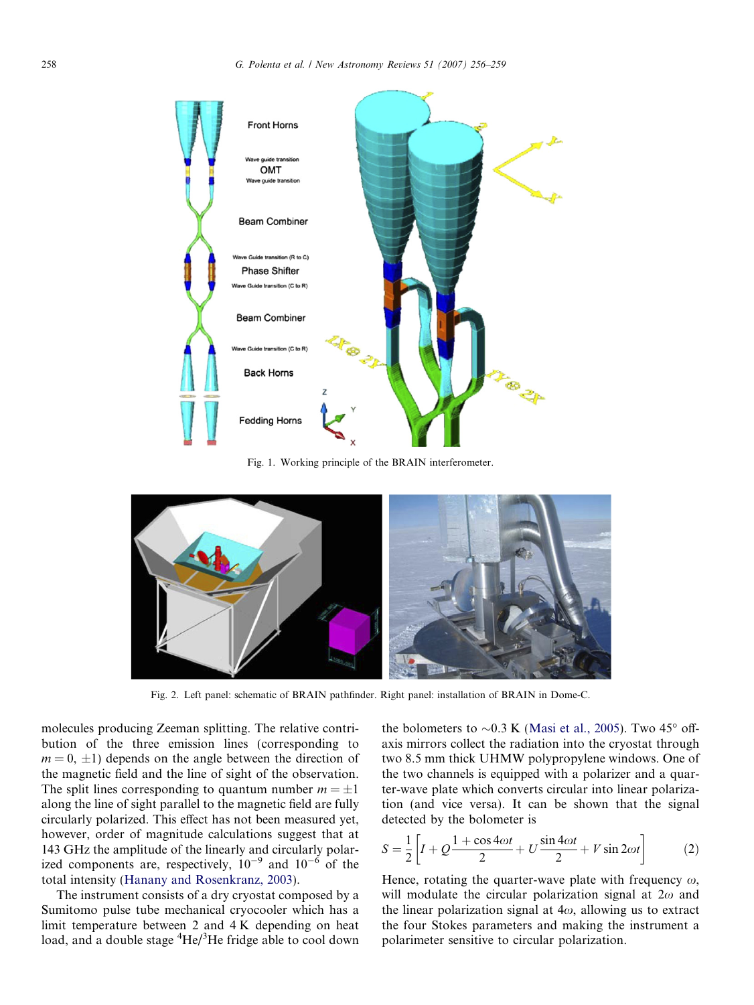

Fig. 1. Working principle of the BRAIN interferometer.



Fig. 2. Left panel: schematic of BRAIN pathfinder. Right panel: installation of BRAIN in Dome-C.

molecules producing Zeeman splitting. The relative contribution of the three emission lines (corresponding to  $m = 0, \pm 1$ ) depends on the angle between the direction of the magnetic field and the line of sight of the observation. The split lines corresponding to quantum number  $m = \pm 1$ along the line of sight parallel to the magnetic field are fully circularly polarized. This effect has not been measured yet, however, order of magnitude calculations suggest that at 143 GHz the amplitude of the linearly and circularly polarized components are, respectively,  $10^{-9}$  and  $10^{-6}$  of the total intensity [\(Hanany and Rosenkranz, 2003](#page-3-0)).

<span id="page-2-0"></span>The instrument consists of a dry cryostat composed by a Sumitomo pulse tube mechanical cryocooler which has a limit temperature between 2 and 4 K depending on heat load, and a double stage <sup>4</sup>He/<sup>3</sup>He fridge able to cool down

the bolometers to  $\sim 0.3$  K ([Masi et al., 2005\)](#page-3-0). Two 45 $^{\circ}$  offaxis mirrors collect the radiation into the cryostat through two 8.5 mm thick UHMW polypropylene windows. One of the two channels is equipped with a polarizer and a quarter-wave plate which converts circular into linear polarization (and vice versa). It can be shown that the signal detected by the bolometer is

$$
S = \frac{1}{2} \left[ I + Q \frac{1 + \cos 4\omega t}{2} + U \frac{\sin 4\omega t}{2} + V \sin 2\omega t \right]
$$
 (2)

Hence, rotating the quarter-wave plate with frequency  $\omega$ , will modulate the circular polarization signal at  $2\omega$  and the linear polarization signal at  $4\omega$ , allowing us to extract the four Stokes parameters and making the instrument a polarimeter sensitive to circular polarization.